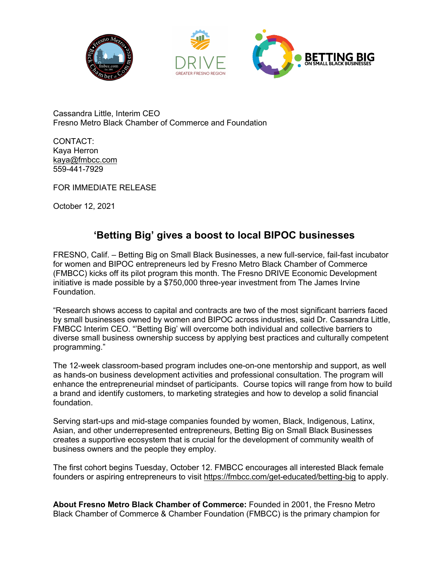



Cassandra Little, Interim CEO Fresno Metro Black Chamber of Commerce and Foundation

CONTACT: Kaya Herron kaya@fmbcc.com 559-441-7929

FOR IMMEDIATE RELEASE

October 12, 2021

## **'Betting Big' gives a boost to local BIPOC businesses**

FRESNO, Calif. – Betting Big on Small Black Businesses, a new full-service, fail-fast incubator for women and BIPOC entrepreneurs led by Fresno Metro Black Chamber of Commerce (FMBCC) kicks off its pilot program this month. The Fresno DRIVE Economic Development initiative is made possible by a \$750,000 three-year investment from The James Irvine Foundation.

"Research shows access to capital and contracts are two of the most significant barriers faced by small businesses owned by women and BIPOC across industries, said Dr. Cassandra Little, FMBCC Interim CEO. "'Betting Big' will overcome both individual and collective barriers to diverse small business ownership success by applying best practices and culturally competent programming."

The 12-week classroom-based program includes one-on-one mentorship and support, as well as hands-on business development activities and professional consultation. The program will enhance the entrepreneurial mindset of participants. Course topics will range from how to build a brand and identify customers, to marketing strategies and how to develop a solid financial foundation.

Serving start-ups and mid-stage companies founded by women, Black, Indigenous, Latinx, Asian, and other underrepresented entrepreneurs, Betting Big on Small Black Businesses creates a supportive ecosystem that is crucial for the development of community wealth of business owners and the people they employ.

The first cohort begins Tuesday, October 12. FMBCC encourages all interested Black female founders or aspiring entrepreneurs to visit https://fmbcc.com/get-educated/betting-big to apply.

**About Fresno Metro Black Chamber of Commerce:** Founded in 2001, the Fresno Metro Black Chamber of Commerce & Chamber Foundation (FMBCC) is the primary champion for